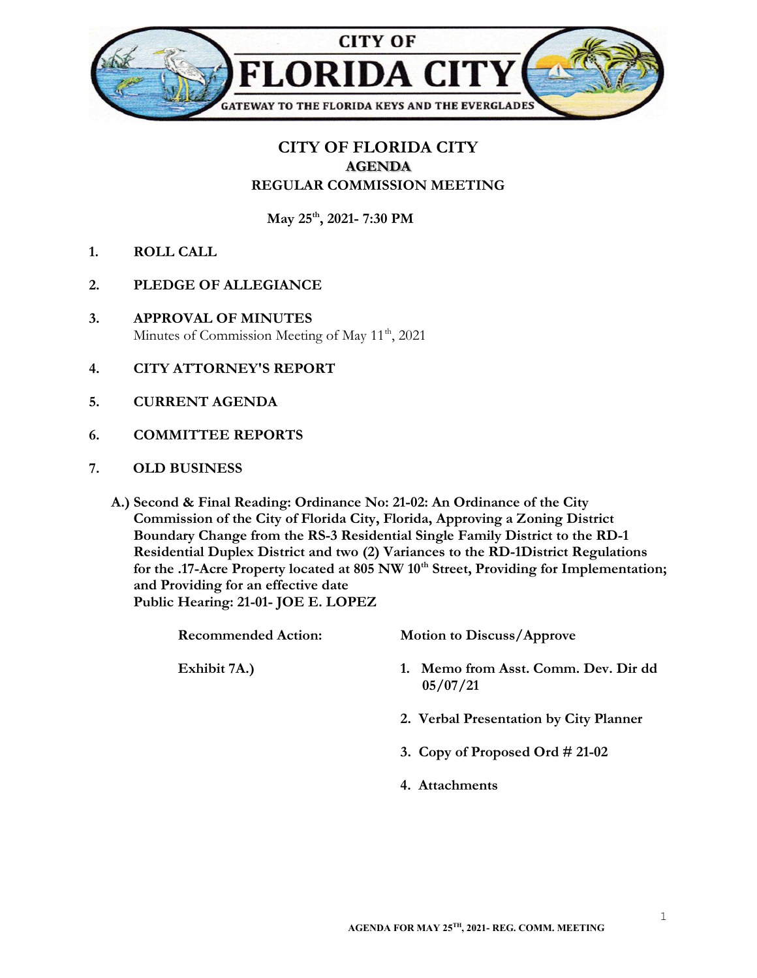

## CITY OF FLORIDA CITY AGENDA REGULAR COMMISSION MEETING

May 25<sup>th</sup>, 2021- 7:30 PM

- 1. ROLL CALL
- 2. PLEDGE OF ALLEGIANCE
- 3. APPROVAL OF MINUTES Minutes of Commission Meeting of May 11<sup>th</sup>, 2021
- 4. CITY ATTORNEY'S REPORT
- 5. CURRENT AGENDA
- 6. COMMITTEE REPORTS
- 7. OLD BUSINESS
	- A.) Second & Final Reading: Ordinance No: 21-02: An Ordinance of the City Commission of the City of Florida City, Florida, Approving a Zoning District Boundary Change from the RS-3 Residential Single Family District to the RD-1 Residential Duplex District and two (2) Variances to the RD-1District Regulations for the .17-Acre Property located at 805 NW 10<sup>th</sup> Street, Providing for Implementation; and Providing for an effective date Public Hearing: 21-01- JOE E. LOPEZ

|  | <b>Recommended Action:</b> | <b>Motion to Discuss/Approve</b>                    |
|--|----------------------------|-----------------------------------------------------|
|  | Exhibit 7A.)               | Memo from Asst. Comm. Dev. Dir dd<br>1.<br>05/07/21 |
|  |                            | 2. Verbal Presentation by City Planner              |
|  |                            | 3. Copy of Proposed Ord $\#$ 21-02                  |
|  |                            | 4. Attachments                                      |